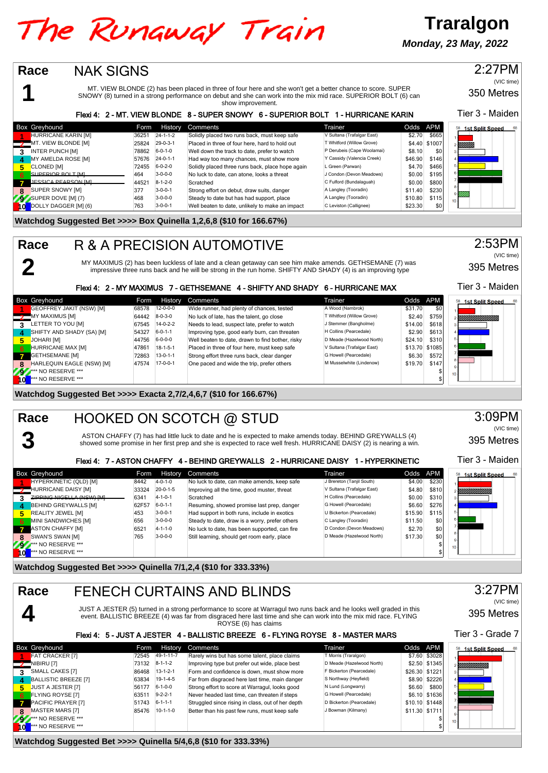## The Runaway Train

**Traralgon Monday, 23 May, 2022**

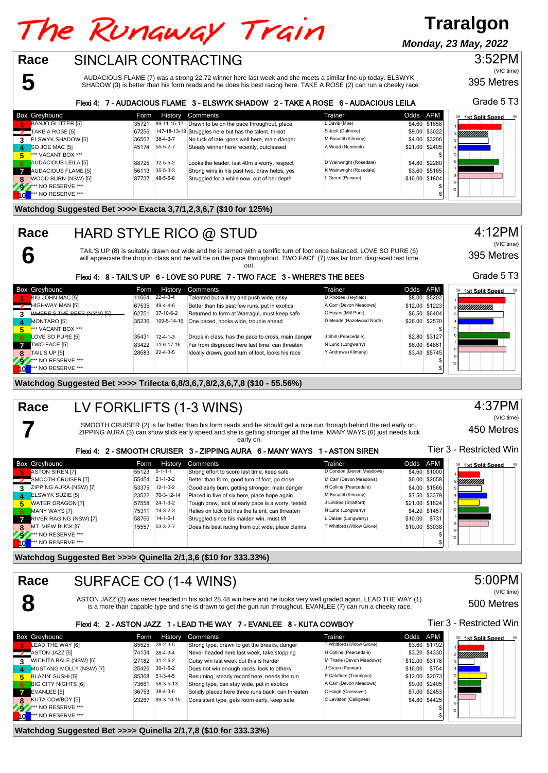# The Runaway Train

### **Traralgon**

**Monday, 23 May, 2022**

#### SINCLAIR CONTRACTING **Race**

**5**

**6**

**7**

AUDACIOUS FLAME (7) was a strong 22.72 winner here last week and she meets a similar line-up today. ELSWYK SHADOW (3) is better than his form reads and he does his best racing here. TAKE A ROSE (2) can run a cheeky race

#### Flexi 4: 7 - AUDACIOUS FLAME 3 - ELSWYK SHADOW 2 - TAKE A ROSE 6 - AUDACIOUS LEILA

|     | Box Greyhound              | Form  |                  | History Comments                                       | Trainer                 | Odds APM |                | 68<br>1st Split Speed |
|-----|----------------------------|-------|------------------|--------------------------------------------------------|-------------------------|----------|----------------|-----------------------|
|     | <b>BANJO GLITTER [5]</b>   | 35721 |                  | 89-11-15-17 Drawn to be on the pace throughout, place  | L Davis (Moe)           |          | \$4,60 \$1658  |                       |
|     | TAKE A ROSE [5]            | 67256 |                  | 147-18-13-19 Struggles here but has the talent, threat | S Jack (Dalmore)        |          | \$9.00 \$3022  | !!!!!!!!!!!!!!        |
| 3   | ELSWYK SHADOW [5]          | 36562 | $38 - 4 - 3 - 7$ | No luck of late, goes well here, main danger           | M Busuttil (Kilmany)    |          | \$4.00 \$3206  |                       |
| Δ   | SO JOE MAC [5]             | 45174 | $55 - 5 - 2 - 7$ | Steady winner here recently, outclassed                | A Wood (Nambrok)        |          | \$21.00 \$2405 |                       |
| 5   | *** VACANT BOX ***         |       |                  |                                                        |                         |          |                |                       |
| 6   | AUDACIOUS LEILA [5]        | 88725 | $32 - 5 - 5 - 2$ | Looks the leader, last 40m a worry, respect            | D Wainwright (Rosedale) |          | \$4.80 \$2280  |                       |
| 47  | <b>AUDACIOUS FLAME [5]</b> | 56113 | $35 - 5 - 3 - 3$ | Strong wins in his past two, draw helps, yes           | K Wainwright (Rosedale) |          | \$3.60 \$5165  |                       |
| 8   | WOOD BURN (NSW) [5]        | 87737 | 48-5-5-8         | Struggled for a while now, out of her depth            | L Green (Parwan)        |          | \$16.00 \$1804 |                       |
| 292 | <b>*** NO RESERVE ***</b>  |       |                  |                                                        |                         |          |                | 10 <sub>10</sub>      |
|     | *** NO RESERVE ***         |       |                  |                                                        |                         |          |                |                       |

#### **Watchdog Suggested Bet >>>> Exacta 3,7/1,2,3,6,7 (\$10 for 125%)**

#### HARD STYLE RICO @ STUD **Race**

TAIL'S UP (8) is suitably drawn out wide and he is armed with a terrific turn of foot once balanced. LOVE SO PURE (6)<br>will appreciate the drop in class and he will be on the pace throughout. TWO FACE (7) was far from disgr

out.

|      |                            |                           | Flexi 4: 8 - TAIL'S UP 6 - LOVE SO PURE 7 - TWO FACE 3 - WHERE'S THE BEES |                           |                | Grade 5 T          |
|------|----------------------------|---------------------------|---------------------------------------------------------------------------|---------------------------|----------------|--------------------|
|      | Box Greyhound              | History<br>Form           | Comments                                                                  | Trainer                   | Odds APM       | 58 1st Split Speed |
|      | <b>BIG JOHN MAC [5]</b>    | $22 - 4 - 3 - 4$<br>11664 | Talented but will try and push wide, risky                                | D Rhodes (Heyfield)       | \$8.00 \$5202  |                    |
|      | HIGHWAY MAN [5]            | 67535 49-4-4-6            | Better than his past few runs, put in exotics                             | A Carr (Devon Meadows)    | \$12.00 \$1223 | YMMMMMM            |
|      | WHERE'S THE BEES (NSW) [5] | 37-10-6-2<br>62751        | Returned to form at Warragul, must keep safe                              | C Hayes (Mill Park)       | \$6.50 \$6404  |                    |
| 4    | MONTARO [5]                | 109-5-14-16<br>35236      | One paced, hooks wide, trouble ahead                                      | D Meade (Hazelwood North) | \$26.00 \$2570 |                    |
| 5    | *** VACANT BOX ***         |                           |                                                                           |                           |                |                    |
| 6    | LOVE SO PURE [5]           | $12 - 4 - 1 - 3$<br>35431 | Drops in class, has the pace to cross, main danger                        | J Shill (Pearcedale)      | \$2.80 \$3127  |                    |
|      | TWO FACE [5]               | 71-6-17-16<br>83422       | Far from disgraced here last time, can threaten                           | N Lund (Longwarry)        | \$6.00 \$4861  |                    |
|      | TAIL'S UP [5]              | $22 - 4 - 3 - 5$<br>28683 | Ideally drawn, good turn of foot, looks his race                          | Y Andrews (Kilmany)       | \$3.40 \$5745  |                    |
|      | <b>*** NO RESERVE ***</b>  |                           |                                                                           |                           | \$             |                    |
| h ol | *** NO RESERVE ***         |                           |                                                                           |                           |                |                    |

#### **Watchdog Suggested Bet >>>> Trifecta 6,8/3,6,7,8/2,3,6,7,8 (\$10 - 55.56%)**

#### LV FORKLIFTS (1-3 WINS) **Race**

SMOOTH CRUISER (2) is far better than his form reads and he should get a nice run through behind the red early on. ZIPPING AURA (3) can show slick early speed and she is getting stronger all the time. MANY WAYS (6) just needs luck early on.

#### Flori 4: 2 - SMOOTH CRUISER 2 - ZIRRING AURA 6 - MANY WAYS 1 - ASTON SIREN

|   |                           |       |                  | FIGAL " Z " SINIJU ILI UNUISEN J " ZIFFING AUNA V " INAIN I WAIS | - ASIVIV SINLIV           |          | .              |                        |
|---|---------------------------|-------|------------------|------------------------------------------------------------------|---------------------------|----------|----------------|------------------------|
|   | Box Greyhound             | Form  | History          | Comments                                                         | Trainer                   | Odds APM |                | <b>1st Split Speed</b> |
|   | <b>ASTON SIREN [7]</b>    | 55123 | $5 - 1 - 1 - 1$  | Strong effort to score last time, keep safe                      | D Condon (Devon Meadows)  |          | \$4.60 \$1000  |                        |
|   | SMOOTH CRUISER [7]        | 55454 | $21 - 1 - 3 - 2$ | Better than form, good turn of foot, go close                    | M Carr (Devon Meadows)    |          | \$6.00 \$2658  | YMMMM.                 |
|   | ZIPPING AURA (NSW) [7]    | 53375 | $12 - 1 - 0 - 2$ | Good early burn, getting stronger, main danger                   | H Collins (Pearcedale)    |          | \$4.00 \$1566  |                        |
|   | <b>ELSWYK SUZIE [5]</b>   | 23522 | 70-3-12-14       | Placed in five of six here, place hope again                     | M Busuttil (Kilmany)      |          | \$7.50 \$3379  |                        |
| 5 | <b>WATER DRAGON [7]</b>   | 57558 | $24 - 1 - 3 - 2$ | Tough draw, lack of early pace is a worry, tested                | J Lindrea (Stratford)     |          | \$21.00 \$1624 |                        |
|   | MANY WAYS [7]             | 75311 | $14 - 3 - 2 - 3$ | Relies on luck but has the talent, can threaten                  | N Lund (Longwarry)        |          | \$4.20 \$1457  |                        |
|   | RIVER RAGING (NSW) [7]    | 58766 | $14 - 1 - 0 - 1$ | Struggled since his maiden win, must lift                        | L Dalziel (Longwarry)     | \$10.00  | \$731          |                        |
|   | 8 MT. VIEW BUCK [5]       | 15557 | $53-3-2-7$       | Does his best racing from out wide, place claims                 | T Whitford (Willow Grove) |          | \$10.00 \$3038 |                        |
| ж | <b>*** NO RESERVE ***</b> |       |                  |                                                                  |                           |          |                | 10 <sup>1</sup>        |
|   | *** NO RESERVE ***        |       |                  |                                                                  |                           |          |                |                        |
|   |                           |       |                  |                                                                  |                           |          |                |                        |

#### **Watchdog Suggested Bet >>>> Quinella 2/1,3,6 (\$10 for 333.33%)**

|              | Race<br>SURFACE CO (1-4 WINS) |       |                  |                                                                                                                                                                                                                                     |                           |          |                | 5:00PM                   |
|--------------|-------------------------------|-------|------------------|-------------------------------------------------------------------------------------------------------------------------------------------------------------------------------------------------------------------------------------|---------------------------|----------|----------------|--------------------------|
|              |                               |       |                  | ASTON JAZZ (2) was never headed in his solid 28.48 win here and he looks very well graded again. LEAD THE WAY (1)<br>is a more than capable type and she is drawn to get the gun run throughout. EVANLEE (7) can run a cheeky race. |                           |          |                | (VIC time)<br>500 Metres |
|              |                               |       |                  | Flexi 4: 2 - ASTON JAZZ 1 - LEAD THE WAY 7 - EVANLEE 8 - KUTA COWBOY                                                                                                                                                                |                           |          |                | Tier 3 - Restricted Win  |
|              | <b>Box Greyhound</b>          | Form  | <b>History</b>   | Comments                                                                                                                                                                                                                            | Trainer                   | Odds APM |                | 68<br>58 1st Split Speed |
|              | LEAD THE WAY [6]              | 85525 | $28 - 2 - 3 - 5$ | Strong type, drawn to get the breaks, danger                                                                                                                                                                                        | T Whitford (Willow Grove) |          | \$3.60 \$1792  |                          |
|              | $\sim$ ASTON JAZZ [5]         | 74134 | $28 - 4 - 3 - 4$ | Never headed here last week, take stopping                                                                                                                                                                                          | H Collins (Pearcedale)    |          | \$3.20 \$4330  | · <i>Villittilittii</i>  |
| $\mathbf{R}$ | WICHITA BALE (NSW) [6]        | 27182 | $31 - 2 - 6 - 2$ | Gutsy win last week but this is harder                                                                                                                                                                                              | M Tharle (Devon Meadows)  |          | \$12.00 \$3178 |                          |
| $\mathbf{A}$ | MUSTANG MOLLY (NSW) [7]       | 25426 | $30-1-5-2$       | Does not win enough races, look to others                                                                                                                                                                                           | J Green (Parwan)          | \$16.00  | \$754          |                          |
| 5.           | BLAZIN' SUSHI [5]             | 85368 | $51-3-4-5$       | Resuming, steady record here, needs the run                                                                                                                                                                                         | P Calafiore (Traralgon)   |          | \$12.00 \$2073 |                          |
| -6           | <b>BIG CITY NIGHTS [6]</b>    | 73661 | 58-3-5-13        | Strong type, can stay wide, put in exotics                                                                                                                                                                                          | A Carr (Devon Meadows)    |          | \$9.00 \$2405  |                          |
|              | EVANLEE [5]                   | 36753 | $38-4-3-6$       | Solidly placed here three runs back, can threaten                                                                                                                                                                                   | C Haigh (Crossover)       |          | \$7.00 \$2453  |                          |

**RUTA COWBOY [5] 23267 89-3-10-15 Consistent type, gets room early, keep safe C Leviston (Callignee) \$4.80 \$4425<br>\*\*\* NO RESERVE \*\*\* 9** \*\*\* NO RESERVE \*\*\* \$ **10**  $\overline{10}$  \*\*\* NO RESERVE \*\*\* \$

**Watchdog Suggested Bet >>>> Quinella 2/1,7,8 (\$10 for 333.33%)**

395 Metres 4:12PM (VIC time)

395 Metres

Grade 5 T3

3:52PM

(VIC time)







4:37PM

(VIC time)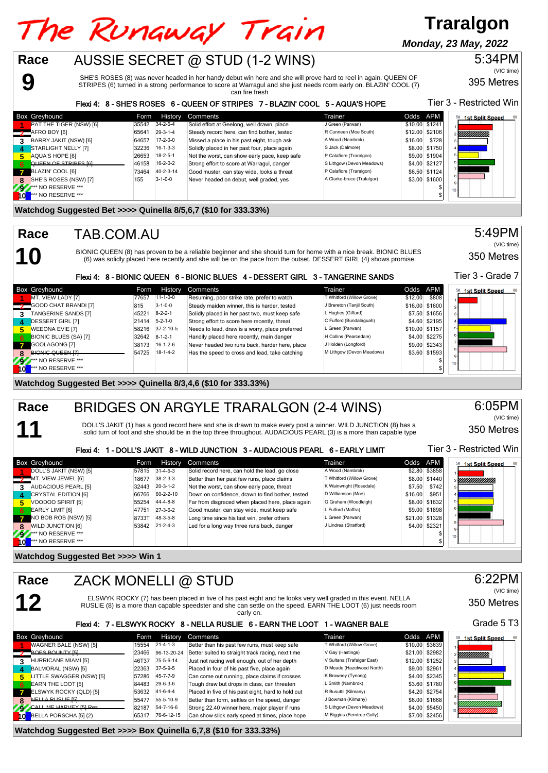## The Runaway Train AUSSIE SECRET @ STUD (1-2 WINS)

**Monday, 23 May, 2022**

**Traralgon**



395 Metres

Tier 3 - Restricted Win

SHE'S ROSES (8) was never headed in her handy debut win here and she will prove hard to reel in again. QUEEN OF STRIPES (6) turned in a strong performance to score at Warragul and she just needs room early on. BLAZIN' COOL (7)

can fire fresh

|  | Flexi 4: 8 - SHE'S ROSES 6 - QUEEN OF STRIPES 7 - BLAZIN' COOL 5 - AQUA'S HOPE |  |
|--|--------------------------------------------------------------------------------|--|
|  |                                                                                |  |

|              | <b>Box Greyhound</b>    | Form  | History           | Comments                                      | Trainer                    |         | Odds APM       | 68<br>1st Split Speed<br>58 |
|--------------|-------------------------|-------|-------------------|-----------------------------------------------|----------------------------|---------|----------------|-----------------------------|
|              | PAT THE TIGER (NSW) [6] | 35542 | $34 - 2 - 6 - 4$  | Solid effort at Geelong, well drawn, place    | J Green (Parwan)           |         | \$10.00 \$1241 |                             |
|              | "AFRO BOY [6]           | 65641 | $29-3-1-4$        | Steady record here, can find bother, tested   | R Cunneen (Moe South)      |         | \$12.00 \$2106 | Y <i>MMMMMM</i>             |
| 3            | BARRY JAKIT (NSW) [6]   | 64657 | $17-2-0-0$        | Missed a place in his past eight, tough ask   | A Wood (Nambrok)           | \$16.00 | \$728          |                             |
| 4            | STARLIGHT NELLY [7]     | 32236 | $16 - 1 - 3 - 3$  | Solidly placed in her past four, place again  | S Jack (Dalmore)           |         | \$8.00 \$1750  |                             |
| 5            | AQUA'S HOPE [6]         | 26653 | $18-2-5-1$        | Not the worst, can show early pace, keep safe | P Calafiore (Traralgon)    |         | \$9.00 \$1904  |                             |
| 6            | QUEEN OF STRIPES IGL    | 46158 | $16 - 2 - 0 - 2$  | Strong effort to score at Warragul, danger    | S Lithgow (Devon Meadows)  |         | \$4.00 \$2127  |                             |
| $\mathbf{z}$ | BLAZIN' COOL [6]        | 73464 | $40 - 2 - 3 - 14$ | Good muster, can stay wide, looks a threat    | P Calafiore (Traralgon)    |         | \$6.50 \$1124  |                             |
| 8            | SHE'S ROSES (NSW) [7]   | 155   | $3 - 1 - 0 - 0$   | Never headed on debut, well graded, yes       | A Clarke-bruce (Trafalgar) |         | \$3.00 \$1600  |                             |
|              | ** NO RESERVE ***       |       |                   |                                               |                            |         |                | 10 <sub>1</sub>             |
|              | *** NO RESERVE ***      |       |                   |                                               |                            |         |                |                             |

#### **Watchdog Suggested Bet >>>> Quinella 8/5,6,7 (\$10 for 333.33%)**

#### TAB.COM.AU

**9**

**10**

**11**

**Race**

**Race**

BIONIC QUEEN (8) has proven to be a reliable beginner and she should turn for home with a nice break. BIONIC BLUES (6) was solidly placed here recently and she will be on the pace from the outset. DESSERT GIRL (4) shows promise.

Tier 3 - Grade 7 Flexi 4: 8 - BIONIC QUEEN 6 - BIONIC BLUES 4 - DESSERT GIRL 3 - TANGERINE SANDS Box Greyhound Comments Form History Comments<br>
Form History Comments and the prefer to watch Twhitford (Willow Grove) 580:<br>
1980: Twhitford (Willow Grove) 580:00 \$80:00 \$80:00 \$80:00 \$80:00 \$80:00 \$80:00 \$80:00 \$80:00 \$80:0 1st Split Speed **11-1-0-0 Resuming, poor strike rate, prefer to watch T Whitford (Willow Grove) \$12.00 \$808<br>COOD CHAT BRANDLIZI \$15.00 \$1500 \$1600 \$1600 \$1600 \$1600 \$1600 \$1600 \$1600 \$1600 \$1600 \$1600 \$1600 \$1600 \$1600 2** GOOD CHAT BRANDI [7] 815 3-1-0-0 Steady maiden winner, this is harder, tested J Brereton (Tanjil South) \$16.00 \$1600 \$1600 \$1600 \$1600 \$1600 \$1656 \$1600 \$1656 \$1600 \$1656 \$1656 \$1656 \$1656 \$1656 \$1656 \$1656 \$1656 \$1656 **3** TANGERINE SANDS [7] 45221 8-2-2-1 Solidly placed in her past two, must keep safe L Hughes (Giffard) \$7.50 \$1656 \$1656 \$1656 \$1656 \$1656 \$2195 \$1656 \$2195 \$1656 \$2195 \$1,60 \$2195 \$4.60 \$2195 \$1,60 \$2195 \$4.60 \$2195 \$4.6 **4.60 \$2195 12141 5-2-1-0 DESSERT GIRL [7]** 21414 5-2-1-0 Strong effort to score here recently, threat C Fulford (Bundalaguah) \$4.60 \$2195 1157 Strong effort to score here recently, threat C Fulford (Bundalaguah) \$1.60 \$1. **FREEONA EVIE [7]** 58216 37-2-10-5 Needs to lead, draw is a worry, place preferred L Green (Parwan) \$10.00 \$1157<br>BIONIC BLUES (SA) [7] 32642 8-1-2-1 Handily placed here recently, main danger H Collins (Pearcedale) \$4.00 \$2 RIONIC BLUES (SA) [7] 32642 8-1-2-1 Handily placed here recently, main danger H Collins (Pearcedale) \$4.00 \$2275<br>GOOLAGONG [7] 38173 16-1-2-6 Never headed two runs back, harder here, place J Holden (Longford) \$9.00 \$2343 **7** GOOLAGONG [7] 38173 16-1-2-6 Never headed two runs back, harder here, place J Holden (Longford) \$9.00 \$2343<br>BIONIC QUEEN [7] 54725 18-1-4-2 Has the speed to cross and lead take catching M Lithoow (Devon Meadows) \$3.60 **8IONIC QUEEN [7] 54725** 54725 18-1-4-2 Has the speed to cross and lead, take catching M Lithew (Devon Meadows) \$3.60  $\mu$ **92** \*\*\* NO RESERVE \*\*\* \$ **10** \*\*\* NO RESERVE \*\*\* \$

**Watchdog Suggested Bet >>>> Quinella 8/3,4,6 (\$10 for 333.33%)**

#### BRIDGES ON ARGYLE TRARALGON (2-4 WINS) **Race**

DOLL'S JAKIT (1) has a good record here and she is drawn to make every post a winner. WILD JUNCTION (8) has a solid turn of foot and she should be in the top three throughout. AUDACIOUS PEARL (3) is a more than capable type 350 Metres 6:05PM (VIC time)

 $T: \mathbb{R}^n$  - Restricted Win

350 Metres

5:49PM

(VIC time)

### $\overline{A}$ : 1 - DOLLIG JAKIT 8 - WILD JUNCTION 3 - WILD CONSULTED PEARL 6 - EARLY LIMIT

|                | Hexi 4:                    |       |                  | 1 - DOLL'S JAKIT 8 - WILD JUNCTION 3 - AUDACIOUS PEARL 6 - EARLY LIMIT |                           |          |                | HEL 3 - RESUICLEU VVIII |
|----------------|----------------------------|-------|------------------|------------------------------------------------------------------------|---------------------------|----------|----------------|-------------------------|
|                | <b>Box Greyhound</b>       | Form  | History          | Comments                                                               | Trainer                   | Odds APM |                | <b>1st Split Speed</b>  |
|                | DOLL'S JAKIT (NSW) [5]     | 57815 | $31 - 4 - 6 - 3$ | Solid record here, can hold the lead, go close                         | A Wood (Nambrok)          |          | \$2.80 \$3858  |                         |
|                | MT. VIEW JEWEL [6]         | 18677 | $38 - 2 - 3 - 3$ | Better than her past few runs, place claims                            | T Whitford (Willow Grove) |          | \$8.00 \$1440  | , Ч <u>ИНИШИНИ</u>      |
| 3.             | AUDACIOUS PEARL [5]        | 32443 | $20 - 3 - 1 - 2$ | Not the worst, can show early pace, threat                             | K Wainwright (Rosedale)   | \$7.50   | \$742          |                         |
| $\overline{4}$ | <b>CRYSTAL EDITION [6]</b> | 66766 | 60-2-2-10        | Down on confidence, drawn to find bother, tested                       | D Williamson (Moe)        | \$16.00  | \$951          |                         |
| 5.             | VOODOO SPIRIT [5]          | 55254 | 44-4-8-8         | Far from disgraced when placed here, place again                       | G Graham (Woodleigh)      |          | \$8.00 \$1632  |                         |
| 6              | <b>EARLY LIMIT [6]</b>     | 47751 | $27-3-6-2$       | Good muster, can stay wide, must keep safe                             | L Fulford (Maffra)        |          | \$9.00 \$1898  |                         |
| $\mathbf{z}$   | NO BOB ROB (NSW) [5]       | 8733T | 48-3-5-8         | Long time since his last win, prefer others                            | L Green (Parwan)          |          | \$21.00 \$1328 |                         |
| 8              | <b>WILD JUNCTION [6]</b>   | 53842 | $21 - 2 - 4 - 3$ | Led for a long way three runs back, danger                             | J Lindrea (Stratford)     |          | \$4.00 \$2321  |                         |
| Æ.             | *** NO RESERVE ***         |       |                  |                                                                        |                           |          |                | 10 <sup>1</sup>         |
| l 0            | *** NO RESERVE ***         |       |                  |                                                                        |                           |          |                |                         |

**Watchdog Suggested Bet >>>> Win 1**

|   | Race<br>ZACK MONELLI @ STUD                                                                                                                                                                                                                        |       |                  |                                                              |                            |          |                | 6:22PM<br>(VIC time)         |
|---|----------------------------------------------------------------------------------------------------------------------------------------------------------------------------------------------------------------------------------------------------|-------|------------------|--------------------------------------------------------------|----------------------------|----------|----------------|------------------------------|
|   | 12<br>ELSWYK ROCKY (7) has been placed in five of his past eight and he looks very well graded in this event. NELLA<br>RUSLIE (8) is a more than capable speedster and she can settle on the speed. EARN THE LOOT (6) just needs room<br>early on. |       |                  |                                                              |                            |          |                |                              |
|   |                                                                                                                                                                                                                                                    |       |                  | Flexi 4: 7 - ELSWYK ROCKY 8 - NELLA RUSLIE 6 - EARN THE LOOT | <b>1 - WAGNER BALE</b>     |          |                | Grade 5T3                    |
|   | Box Greyhound                                                                                                                                                                                                                                      | Form  | History          | Comments                                                     | Trainer                    | Odds APM |                | 58<br><b>1st Split Speed</b> |
|   | WAGNER BALE (NSW) [5]                                                                                                                                                                                                                              | 15554 | $21 - 4 - 1 - 3$ | Better than his past few runs, must keep safe                | T Whitford (Willow Grove)  |          | \$10.00 \$3639 |                              |
|   | BOES BOUNTY [5]                                                                                                                                                                                                                                    | 23466 | 96-13-20-24      | Better suited to straight track racing, next time            | V Gay (Hastings)           |          | \$21.00 \$2982 | · <i>Millillillilli</i>      |
| 3 | HURRICANE MIAMI [5]                                                                                                                                                                                                                                | 46T37 | 75-5-6-14        | Just not racing well enough, out of her depth                | V Sultana (Trafalgar East) |          | \$12.00 \$1252 |                              |
| 4 | BALMORAL (NSW) [5]                                                                                                                                                                                                                                 | 22363 | $37 - 5 - 9 - 5$ | Placed in four of his past five, place again                 | D Meade (Hazelwood North)  |          | \$9.00 \$2961  |                              |
| 5 | LITTLE SWAGGER (NSW) [5]                                                                                                                                                                                                                           | 57286 | 45-7-7-9         | Can come out running, place claims if crosses                | K Browney (Tynong)         |          | \$4.00 \$2345  |                              |
| 6 | <b>EARN THE LOOT [5]</b>                                                                                                                                                                                                                           | 84483 | $29-6-3-6$       | Tough draw but drops in class, can threaten                  | L Smith (Nambrok)          |          | \$3.60 \$1780  |                              |
|   | ELSWYK ROCKY (QLD) [5]                                                                                                                                                                                                                             | 53632 | 41-6-4-4         | Placed in five of his past eight, hard to hold out           | R Busuttil (Kilmany)       |          | \$4.20 \$2754  |                              |

**7** ELSWYK ROCKY (QLD) [5] 53632 41-6-4-4 Placed in five of his past eight, hard to hold out R Busuttil (Kilmany) \$4.20 \$2754<br>NELLA RUSUE IF RESERVED TO STACK THE SESS-10-9 Retter than form settles on the speed danger and **8** NELLA RUSLIE [5] 55407 55-5-10-9 Better than form, settles on the speed, danger JBowman (Kilmany) \$6.00 \$1668<br>CALL ME HARVEY ISLRes 82187 54-7-16-6 Strong 22.40 winner here major player if runs SLithgow (Devon Meadows) **9 CALL ME HARVEY [5] Res.** 2018 5450 54-7-16-6 Strong 22.40 winner here, major player if runs S Lithgow (Devon Meadows) \$4.00 \$5450 \$4.00 \$5450 \$2456 [ST LITELLA PORSCHA [5] (2) \$7.00 \$2456

| Watchdog Suggested Bet >>>> Box Quinella 6,7,8 (\$10 for 333.33%)                           |  |
|---------------------------------------------------------------------------------------------|--|
| 10 BELLA PORSCHA [5] (2)<br>65317 76-6-12-15 Can show slick early speed at times, place hop |  |